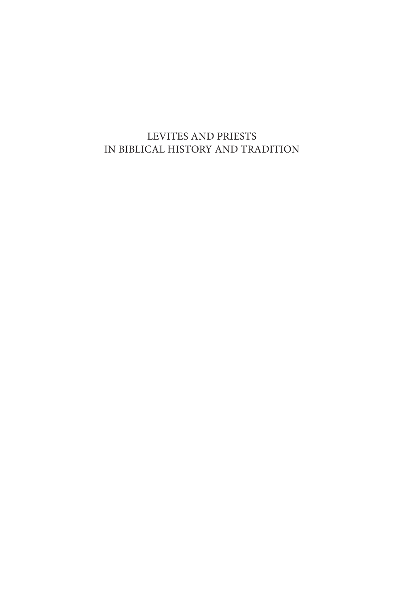# LEVITES AND PRIESTS IN BIBLICAL HISTORY AND TRADITION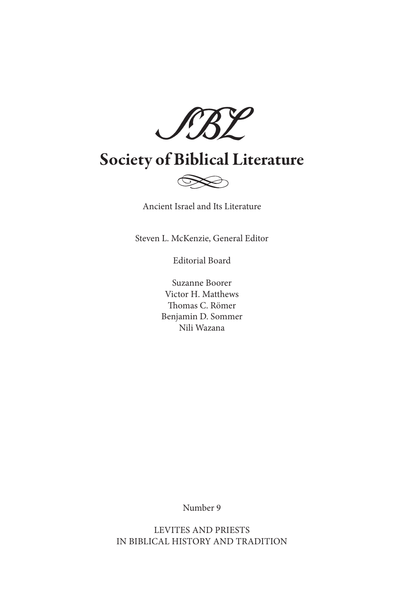

# **Society of Biblical Literature**



Ancient Israel and Its Literature

Steven L. McKenzie, General Editor

Editorial Board

Suzanne Boorer Victor H. Matthews Thomas C. Römer Benjamin D. Sommer Nili Wazana

Number 9

LEVITES AND PRIESTS IN BIBLICAL HISTORY AND TRADITION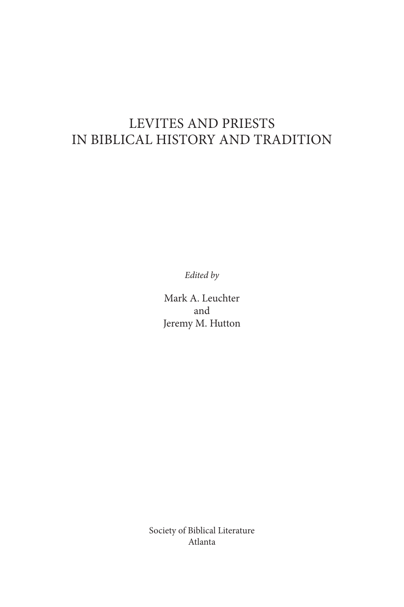# LEVITES AND PRIESTS IN BIBLICAL HISTORY AND TRADITION

Edited by

Mark A. Leuchter and Jeremy M. Hutton

Society of Biblical Literature Atlanta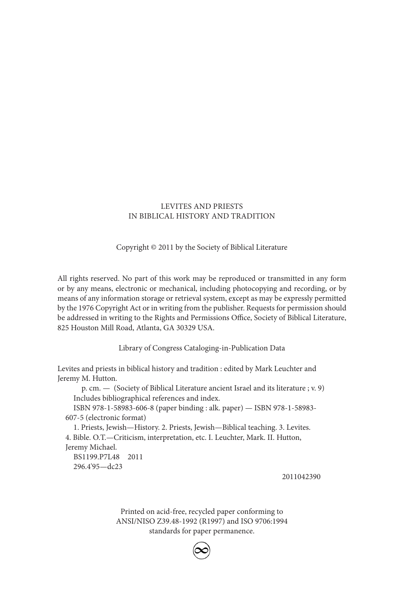#### LEVITES AND PRIESTS IN BIBLICAL HISTORY AND TRADITION

Copyright © 2011 by the Society of Biblical Literature

All rights reserved. No part of this work may be reproduced or transmitted in any form or by any means, electronic or mechanical, including photocopying and recording, or by means of any information storage or retrieval system, except as may be expressly permitted by the 1976 Copyright Act or in writing from the publisher. Requests for permission should be addressed in writing to the Rights and Permissions Office, Society of Biblical Literature, 825 Houston Mill Road, Atlanta, GA 30329 USA.

Library of Congress Cataloging-in-Publication Data

Levites and priests in biblical history and tradition : edited by Mark Leuchter and Jeremy M. Hutton.

 p. cm. — (Society of Biblical Literature ancient Israel and its literature ; v. 9) Includes bibliographical references and index.

 ISBN 978-1-58983-606-8 (paper binding : alk. paper) — ISBN 978-1-58983- 607-5 (electronic format)

 1. Priests, Jewish—History. 2. Priests, Jewish—Biblical teaching. 3. Levites. 4. Bible. O.T.—Criticism, interpretation, etc. I. Leuchter, Mark. II. Hutton, Jeremy Michael. BS1199.P7L48 2011 296.4'95—dc23

2011042390

Printed on acid-free, recycled paper conforming to ANSI/NISO Z39.48-1992 (R1997) and ISO 9706:1994 standards for paper permanence.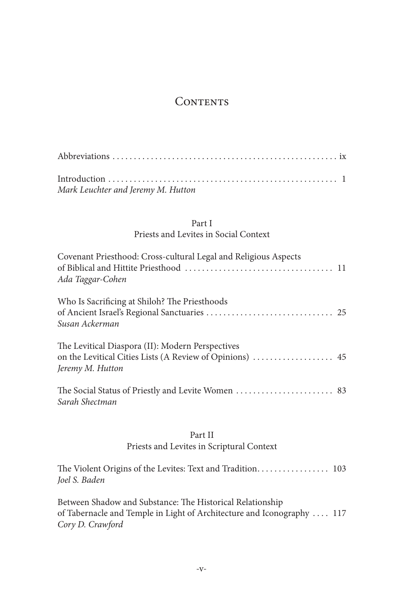# **CONTENTS**

| Mark Leuchter and Jeremy M. Hutton |  |
|------------------------------------|--|

#### Part I

#### Priests and Levites in Social Context

| Covenant Priesthood: Cross-cultural Legal and Religious Aspects<br>Ada Taggar-Cohen                                              |  |
|----------------------------------------------------------------------------------------------------------------------------------|--|
| Who Is Sacrificing at Shiloh? The Priesthoods<br>Susan Ackerman                                                                  |  |
| The Levitical Diaspora (II): Modern Perspectives<br>on the Levitical Cities Lists (A Review of Opinions)  45<br>Jeremy M. Hutton |  |
| Sarah Shectman                                                                                                                   |  |

#### Part II

#### Priests and Levites in Scriptural Context

| Joel S. Baden |  |
|---------------|--|

Between Shadow and Substance: The Historical Relationship of Tabernacle and Temple in Light of Architecture and Iconography . . . . 117 Cory D. Crawford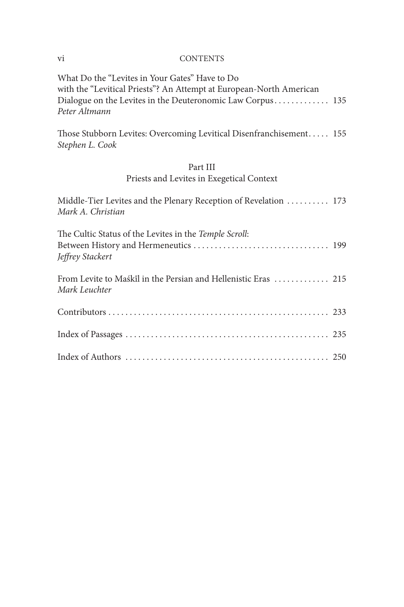#### vi CONTENTS

| What Do the "Levites in Your Gates" Have to Do                      |  |
|---------------------------------------------------------------------|--|
| with the "Levitical Priests"? An Attempt at European-North American |  |
|                                                                     |  |
| Peter Altmann                                                       |  |

Those Stubborn Levites: Overcoming Levitical Disenfranchisement..... 155 Stephen L. Cook

#### Part III

#### Priests and Levites in Exegetical Context

| Middle-Tier Levites and the Plenary Reception of Revelation  173<br>Mark A. Christian |
|---------------------------------------------------------------------------------------|
| The Cultic Status of the Levites in the Temple Scroll:<br>Jeffrey Stackert            |
| From Levite to Maśkîl in the Persian and Hellenistic Eras  215<br>Mark Leuchter       |
|                                                                                       |
|                                                                                       |
|                                                                                       |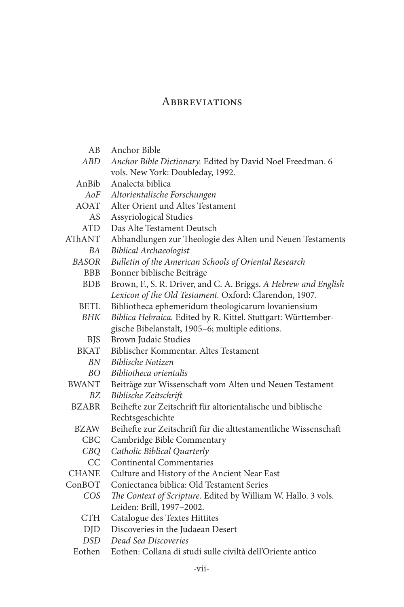### **ABBREVIATIONS**

| AB            | Anchor Bible                                                    |
|---------------|-----------------------------------------------------------------|
| <b>ABD</b>    | Anchor Bible Dictionary. Edited by David Noel Freedman. 6       |
|               | vols. New York: Doubleday, 1992.                                |
| AnBib         | Analecta biblica                                                |
| $A \circ F$   | Altorientalische Forschungen                                    |
| <b>AOAT</b>   | Alter Orient und Altes Testament                                |
| AS            | Assyriological Studies                                          |
| <b>ATD</b>    | Das Alte Testament Deutsch                                      |
| <b>AThANT</b> | Abhandlungen zur Theologie des Alten und Neuen Testaments       |
| BA            | <b>Biblical Archaeologist</b>                                   |
| <b>BASOR</b>  | Bulletin of the American Schools of Oriental Research           |
| <b>BBB</b>    | Bonner biblische Beiträge                                       |
| <b>BDB</b>    | Brown, F., S. R. Driver, and C. A. Briggs. A Hebrew and English |
|               | Lexicon of the Old Testament. Oxford: Clarendon, 1907.          |
| <b>BETL</b>   | Bibliotheca ephemeridum theologicarum lovaniensium              |
| <b>BHK</b>    | Biblica Hebraica. Edited by R. Kittel. Stuttgart: Württember-   |
|               | gische Bibelanstalt, 1905-6; multiple editions.                 |
| <b>BJS</b>    | Brown Judaic Studies                                            |
| <b>BKAT</b>   | Biblischer Kommentar. Altes Testament                           |
| BN            | <b>Biblische Notizen</b>                                        |
| BO -          | Bibliotheca orientalis                                          |
| <b>BWANT</b>  | Beiträge zur Wissenschaft vom Alten und Neuen Testament         |
| BZ            | Biblische Zeitschrift                                           |
| <b>BZABR</b>  | Beihefte zur Zeitschrift für altorientalische und biblische     |
|               | Rechtsgeschichte                                                |
| <b>BZAW</b>   | Beihefte zur Zeitschrift für die alttestamentliche Wissenschaft |
| <b>CBC</b>    | Cambridge Bible Commentary                                      |
| CBQ           | Catholic Biblical Quarterly                                     |
| CC            | <b>Continental Commentaries</b>                                 |
| <b>CHANE</b>  | Culture and History of the Ancient Near East                    |
| ConBOT        | Coniectanea biblica: Old Testament Series                       |
| COS           | The Context of Scripture. Edited by William W. Hallo. 3 vols.   |
|               | Leiden: Brill, 1997-2002.                                       |
| <b>CTH</b>    | Catalogue des Textes Hittites                                   |
| <b>DJD</b>    | Discoveries in the Judaean Desert                               |
| <b>DSD</b>    | Dead Sea Discoveries                                            |
| Eothen        | Eothen: Collana di studi sulle civiltà dell'Oriente antico      |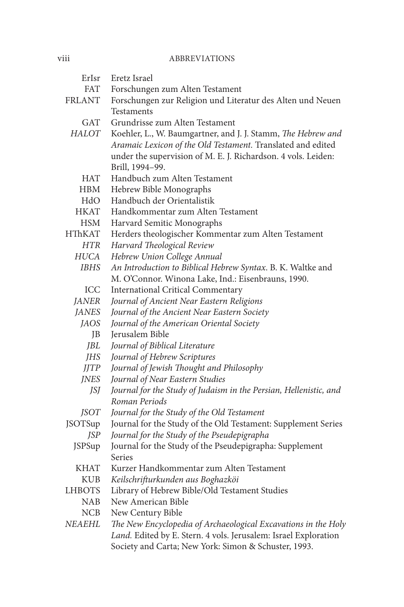| ErIsr          | Eretz Israel                                                                                                                                                                                                    |
|----------------|-----------------------------------------------------------------------------------------------------------------------------------------------------------------------------------------------------------------|
| FAT            | Forschungen zum Alten Testament                                                                                                                                                                                 |
| <b>FRLANT</b>  | Forschungen zur Religion und Literatur des Alten und Neuen<br><b>Testaments</b>                                                                                                                                 |
| <b>GAT</b>     | Grundrisse zum Alten Testament                                                                                                                                                                                  |
| <b>HALOT</b>   |                                                                                                                                                                                                                 |
|                | Koehler, L., W. Baumgartner, and J. J. Stamm, The Hebrew and<br>Aramaic Lexicon of the Old Testament. Translated and edited<br>under the supervision of M. E. J. Richardson. 4 vols. Leiden:<br>Brill, 1994-99. |
| <b>HAT</b>     | Handbuch zum Alten Testament                                                                                                                                                                                    |
| <b>HBM</b>     | Hebrew Bible Monographs                                                                                                                                                                                         |
| HdO            | Handbuch der Orientalistik                                                                                                                                                                                      |
| HKAT           | Handkommentar zum Alten Testament                                                                                                                                                                               |
| HSM            | Harvard Semitic Monographs                                                                                                                                                                                      |
| HThKAT         | Herders theologischer Kommentar zum Alten Testament                                                                                                                                                             |
| HTR            | Harvard Theological Review                                                                                                                                                                                      |
| HUCA           | Hebrew Union College Annual                                                                                                                                                                                     |
| <b>IBHS</b>    | An Introduction to Biblical Hebrew Syntax. B. K. Waltke and                                                                                                                                                     |
|                | M. O'Connor. Winona Lake, Ind.: Eisenbrauns, 1990.                                                                                                                                                              |
| ICC            | <b>International Critical Commentary</b>                                                                                                                                                                        |
| <b>JANER</b>   | Journal of Ancient Near Eastern Religions                                                                                                                                                                       |
| <i>JANES</i>   | Journal of the Ancient Near Eastern Society                                                                                                                                                                     |
| JAOS           | Journal of the American Oriental Society                                                                                                                                                                        |
| JB             | Jerusalem Bible                                                                                                                                                                                                 |
| JBL            | Journal of Biblical Literature                                                                                                                                                                                  |
| JHS            | Journal of Hebrew Scriptures                                                                                                                                                                                    |
| $J\!JTP$       | Journal of Jewish Thought and Philosophy                                                                                                                                                                        |
| <b>JNES</b>    | Journal of Near Eastern Studies                                                                                                                                                                                 |
| <b>JSJ</b>     | Journal for the Study of Judaism in the Persian, Hellenistic, and                                                                                                                                               |
|                | Roman Periods                                                                                                                                                                                                   |
| <b>JSOT</b>    | Journal for the Study of the Old Testament                                                                                                                                                                      |
| <b>JSOTSup</b> | Journal for the Study of the Old Testament: Supplement Series                                                                                                                                                   |
| <i>JSP</i>     | Journal for the Study of the Pseudepigrapha                                                                                                                                                                     |
| <b>JSPSup</b>  | Journal for the Study of the Pseudepigrapha: Supplement                                                                                                                                                         |
|                | Series                                                                                                                                                                                                          |
| <b>KHAT</b>    | Kurzer Handkommentar zum Alten Testament                                                                                                                                                                        |
| <b>KUB</b>     | Keilschrifturkunden aus Boghazköi                                                                                                                                                                               |
| <b>LHBOTS</b>  | Library of Hebrew Bible/Old Testament Studies                                                                                                                                                                   |
| <b>NAB</b>     | New American Bible                                                                                                                                                                                              |
| <b>NCB</b>     | New Century Bible                                                                                                                                                                                               |
| <b>NEAEHL</b>  | The New Encyclopedia of Archaeological Excavations in the Holy                                                                                                                                                  |
|                | Land. Edited by E. Stern. 4 vols. Jerusalem: Israel Exploration                                                                                                                                                 |
|                | Society and Carta; New York: Simon & Schuster, 1993.                                                                                                                                                            |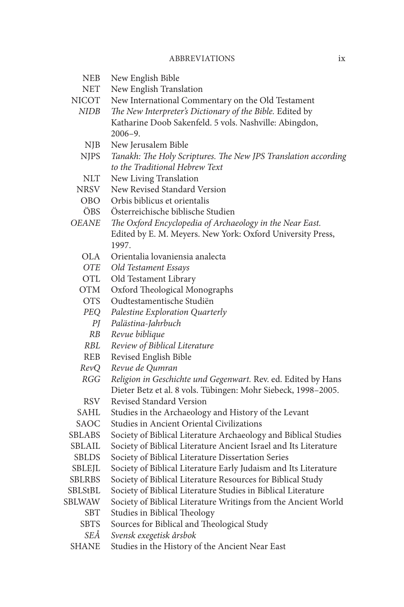#### ABBREVIATIONS ix

| <b>NEB</b>                | New English Bible                                                          |
|---------------------------|----------------------------------------------------------------------------|
| <b>NET</b>                | New English Translation                                                    |
| NICOT                     | New International Commentary on the Old Testament                          |
| <b>NIDB</b>               | The New Interpreter's Dictionary of the Bible. Edited by                   |
|                           | Katharine Doob Sakenfeld. 5 vols. Nashville: Abingdon,                     |
|                           | $2006 - 9.$                                                                |
| <b>NJB</b>                | New Jerusalem Bible                                                        |
| <b>NJPS</b>               | Tanakh: The Holy Scriptures. The New JPS Translation according             |
|                           | to the Traditional Hebrew Text                                             |
| <b>NLT</b>                | New Living Translation                                                     |
| <b>NRSV</b>               | New Revised Standard Version                                               |
| OBO –                     | Orbis biblicus et orientalis                                               |
| ÖBS                       | Österreichische biblische Studien                                          |
| <b>OEANE</b>              | The Oxford Encyclopedia of Archaeology in the Near East.                   |
|                           | Edited by E. M. Meyers. New York: Oxford University Press,                 |
|                           | 1997.                                                                      |
| <b>OLA</b>                | Orientalia lovaniensia analecta                                            |
| <b>OTE</b>                | Old Testament Essays                                                       |
| <b>OTL</b>                | Old Testament Library                                                      |
| OTM                       | Oxford Theological Monographs                                              |
| <b>OTS</b>                | Oudtestamentische Studiën                                                  |
| PEQ                       | Palestine Exploration Quarterly                                            |
| РJ                        | Palästina-Jahrbuch                                                         |
| RB                        | Revue biblique                                                             |
| RBL                       | Review of Biblical Literature                                              |
| <b>REB</b>                | Revised English Bible                                                      |
| RevQ                      | Revue de Qumran                                                            |
| RGG                       | Religion in Geschichte und Gegenwart. Rev. ed. Edited by Hans              |
|                           | Dieter Betz et al. 8 vols. Tübingen: Mohr Siebeck, 1998-2005.              |
| <b>RSV</b>                | <b>Revised Standard Version</b>                                            |
| SAHL                      | Studies in the Archaeology and History of the Levant                       |
| SAOC                      | Studies in Ancient Oriental Civilizations                                  |
| SBLABS                    | Society of Biblical Literature Archaeology and Biblical Studies            |
| SBLAIL                    | Society of Biblical Literature Ancient Israel and Its Literature           |
| <b>SBLDS</b>              | Society of Biblical Literature Dissertation Series                         |
| SBLEJL                    | Society of Biblical Literature Early Judaism and Its Literature            |
| <b>SBLRBS</b>             | Society of Biblical Literature Resources for Biblical Study                |
| SBLStBL                   | Society of Biblical Literature Studies in Biblical Literature              |
| <b>SBLWAW</b>             | Society of Biblical Literature Writings from the Ancient World             |
| <b>SBT</b><br><b>SBTS</b> | Studies in Biblical Theology<br>Sources for Biblical and Theological Study |
| SEÅ                       | Svensk exegetisk årsbok                                                    |
|                           |                                                                            |

SHANE Studies in the History of the Ancient Near East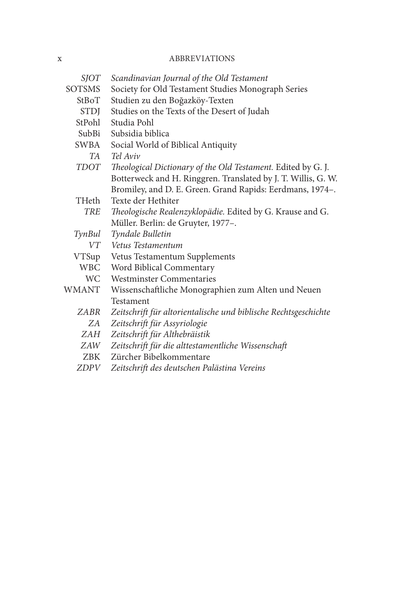#### x ABBREVIATIONS

| SJOT        | Scandinavian Journal of the Old Testament                       |
|-------------|-----------------------------------------------------------------|
| SOTSMS      | Society for Old Testament Studies Monograph Series              |
| StBoT       | Studien zu den Boğazköy-Texten                                  |
| <b>STDJ</b> | Studies on the Texts of the Desert of Judah                     |
| StPohl      | Studia Pohl                                                     |
| SubBi       | Subsidia biblica                                                |
| SWBA        | Social World of Biblical Antiquity                              |
| TA –        | Tel Aviv                                                        |
| TDOT        | Theological Dictionary of the Old Testament. Edited by G. J.    |
|             | Botterweck and H. Ringgren. Translated by J. T. Willis, G. W.   |
|             | Bromiley, and D. E. Green. Grand Rapids: Eerdmans, 1974-.       |
| THeth       | Texte der Hethiter                                              |
| TRE         | Theologische Realenzyklopädie. Edited by G. Krause and G.       |
|             | Müller. Berlin: de Gruyter, 1977-.                              |
| TynBul      | Tyndale Bulletin                                                |
|             | VT Vetus Testamentum                                            |
| VTSup       | Vetus Testamentum Supplements                                   |
| WBC         | Word Biblical Commentary                                        |
| WC.         | <b>Westminster Commentaries</b>                                 |
| WMANT       | Wissenschaftliche Monographien zum Alten und Neuen              |
|             | Testament                                                       |
| ZABR        | Zeitschrift für altorientalische und biblische Rechtsgeschichte |
| ZA          | Zeitschrift für Assyriologie                                    |
| ZAH         | Zeitschrift für Althebräistik                                   |
|             | ZAW Zeitschrift für die alttestamentliche Wissenschaft          |
| ZBK         | Zürcher Bibelkommentare                                         |
| ZDPV        | Zeitschrift des deutschen Palästina Vereins                     |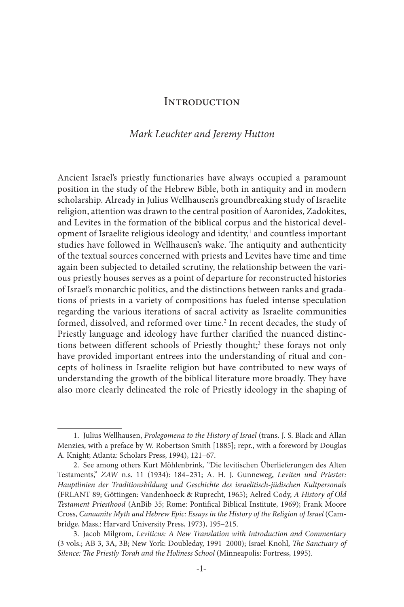#### **INTRODUCTION**

#### Mark Leuchter and Jeremy Hutton

Ancient Israel's priestly functionaries have always occupied a paramount position in the study of the Hebrew Bible, both in antiquity and in modern scholarship. Already in Julius Wellhausen's groundbreaking study of Israelite religion, attention was drawn to the central position of Aaronides, Zadokites, and Levites in the formation of the biblical corpus and the historical development of Israelite religious ideology and identity,<sup>1</sup> and countless important studies have followed in Wellhausen's wake. The antiquity and authenticity of the textual sources concerned with priests and Levites have time and time again been subjected to detailed scrutiny, the relationship between the various priestly houses serves as a point of departure for reconstructed histories of Israel's monarchic politics, and the distinctions between ranks and gradations of priests in a variety of compositions has fueled intense speculation regarding the various iterations of sacral activity as Israelite communities formed, dissolved, and reformed over time.<sup>2</sup> In recent decades, the study of Priestly language and ideology have further clarified the nuanced distinctions between different schools of Priestly thought;<sup>3</sup> these forays not only have provided important entrees into the understanding of ritual and concepts of holiness in Israelite religion but have contributed to new ways of understanding the growth of the biblical literature more broadly. They have also more clearly delineated the role of Priestly ideology in the shaping of

<sup>1.</sup> Julius Wellhausen, Prolegomena to the History of Israel (trans. J. S. Black and Allan Menzies, with a preface by W. Robertson Smith [1885]; repr., with a foreword by Douglas A. Knight; Atlanta: Scholars Press, 1994), 121–67.

<sup>2.</sup> See among others Kurt Möhlenbrink, "Die levitischen Überlieferungen des Alten Testaments," ZAW n.s. 11 (1934): 184–231; A. H. J. Gunneweg, Leviten und Priester: Hauptlinien der Traditionsbildung und Geschichte des israelitisch-jüdischen Kultpersonals (FRLANT 89; Göttingen: Vandenhoeck & Ruprecht, 1965); Aelred Cody, A History of Old Testament Priesthood (AnBib 35; Rome: Pontifical Biblical Institute, 1969); Frank Moore Cross, Canaanite Myth and Hebrew Epic: Essays in the History of the Religion of Israel (Cambridge, Mass.: Harvard University Press, 1973), 195–215.

<sup>3.</sup> Jacob Milgrom, Leviticus: A New Translation with Introduction and Commentary (3 vols.; AB 3, 3A, 3B; New York: Doubleday, 1991-2000); Israel Knohl, The Sanctuary of Silence: The Priestly Torah and the Holiness School (Minneapolis: Fortress, 1995).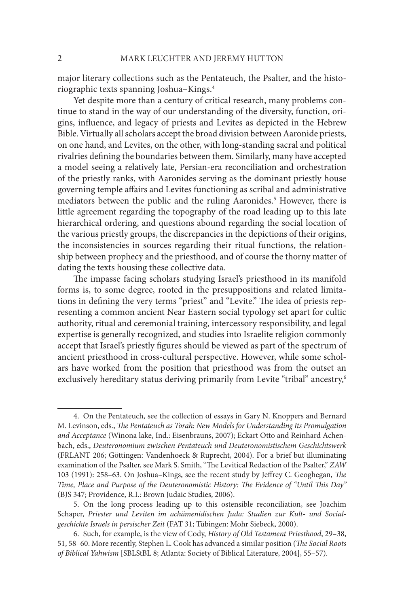major literary collections such as the Pentateuch, the Psalter, and the historiographic texts spanning Joshua–Kings.4

Yet despite more than a century of critical research, many problems continue to stand in the way of our understanding of the diversity, function, origins, influence, and legacy of priests and Levites as depicted in the Hebrew Bible. Virtually all scholars accept the broad division between Aaronide priests, on one hand, and Levites, on the other, with long-standing sacral and political rivalries defining the boundaries between them. Similarly, many have accepted a model seeing a relatively late, Persian-era reconciliation and orchestration of the priestly ranks, with Aaronides serving as the dominant priestly house governing temple affairs and Levites functioning as scribal and administrative mediators between the public and the ruling Aaronides.<sup>5</sup> However, there is little agreement regarding the topography of the road leading up to this late hierarchical ordering, and questions abound regarding the social location of the various priestly groups, the discrepancies in the depictions of their origins, the inconsistencies in sources regarding their ritual functions, the relationship between prophecy and the priesthood, and of course the thorny matter of dating the texts housing these collective data.

The impasse facing scholars studying Israel's priesthood in its manifold forms is, to some degree, rooted in the presuppositions and related limitations in defining the very terms "priest" and "Levite." The idea of priests representing a common ancient Near Eastern social typology set apart for cultic authority, ritual and ceremonial training, intercessory responsibility, and legal expertise is generally recognized, and studies into Israelite religion commonly accept that Israel's priestly figures should be viewed as part of the spectrum of ancient priesthood in cross-cultural perspective. However, while some scholars have worked from the position that priesthood was from the outset an exclusively hereditary status deriving primarily from Levite "tribal" ancestry,<sup>6</sup>

<sup>4.</sup> On the Pentateuch, see the collection of essays in Gary N. Knoppers and Bernard M. Levinson, eds., The Pentateuch as Torah: New Models for Understanding Its Promulgation and Acceptance (Winona lake, Ind.: Eisenbrauns, 2007); Eckart Otto and Reinhard Achenbach, eds., Deuteronomium zwischen Pentateuch und Deuteronomistischem Geschichtswerk (FRLANT 206; Göttingen: Vandenhoeck & Ruprecht, 2004). For a brief but illuminating examination of the Psalter, see Mark S. Smith, "The Levitical Redaction of the Psalter," ZAW 103 (1991): 258-63. On Joshua-Kings, see the recent study by Jeffrey C. Geoghegan, The Time, Place and Purpose of the Deuteronomistic History: The Evidence of "Until This Day" (BJS 347; Providence, R.I.: Brown Judaic Studies, 2006).

<sup>5.</sup> On the long process leading up to this ostensible reconciliation, see Joachim Schaper, Priester und Leviten im achämenidischen Juda: Studien zur Kult- und Socialgeschichte Israels in persischer Zeit (FAT 31; Tübingen: Mohr Siebeck, 2000).

<sup>6.</sup> Such, for example, is the view of Cody, History of Old Testament Priesthood, 29–38, 51, 58-60. More recently, Stephen L. Cook has advanced a similar position (The Social Roots of Biblical Yahwism [SBLStBL 8; Atlanta: Society of Biblical Literature, 2004], 55–57).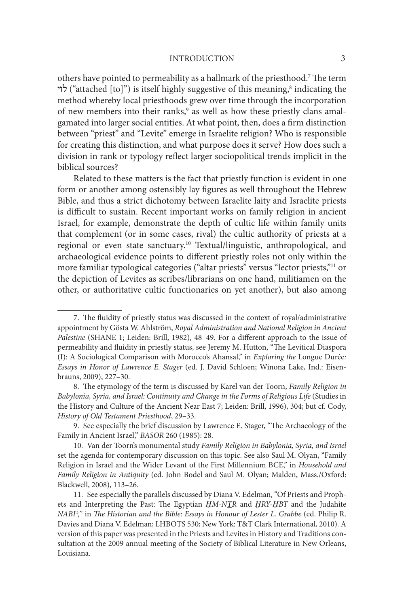others have pointed to permeability as a hallmark of the priesthood.<sup>7</sup> The term לוי ("attached [to]") is itself highly suggestive of this meaning,<sup>8</sup> indicating the method whereby local priesthoods grew over time through the incorporation of new members into their ranks,<sup>9</sup> as well as how these priestly clans amalgamated into larger social entities. At what point, then, does a firm distinction between "priest" and "Levite" emerge in Israelite religion? Who is responsible for creating this distinction, and what purpose does it serve? How does such a division in rank or typology reflect larger sociopolitical trends implicit in the biblical sources?

Related to these matters is the fact that priestly function is evident in one form or another among ostensibly lay figures as well throughout the Hebrew Bible, and thus a strict dichotomy between Israelite laity and Israelite priests is difficult to sustain. Recent important works on family religion in ancient Israel, for example, demonstrate the depth of cultic life within family units that complement (or in some cases, rival) the cultic authority of priests at a regional or even state sanctuary.10 Textual/linguistic, anthropological, and archaeological evidence points to different priestly roles not only within the more familiar typological categories ("altar priests" versus "lector priests,"11 or the depiction of Levites as scribes/librarians on one hand, militiamen on the other, or authoritative cultic functionaries on yet another), but also among

<sup>7.</sup> The fluidity of priestly status was discussed in the context of royal/administrative appointment by Gösta W. Ahlström, Royal Administration and National Religion in Ancient Palestine (SHANE 1; Leiden: Brill, 1982), 48-49. For a different approach to the issue of permeability and fluidity in priestly status, see Jeremy M. Hutton, "The Levitical Diaspora (I): A Sociological Comparison with Morocco's Ahansal," in Exploring the Longue Durée: Essays in Honor of Lawrence E. Stager (ed. J. David Schloen; Winona Lake, Ind.: Eisenbrauns, 2009), 227–30.

<sup>8.</sup> The etymology of the term is discussed by Karel van der Toorn, Family Religion in Babylonia, Syria, and Israel: Continuity and Change in the Forms of Religious Life (Studies in the History and Culture of the Ancient Near East 7; Leiden: Brill, 1996), 304; but cf. Cody, History of Old Testament Priesthood, 29–33.

<sup>9.</sup> See especially the brief discussion by Lawrence E. Stager, "The Archaeology of the Family in Ancient Israel," BASOR 260 (1985): 28.

<sup>10.</sup> Van der Toorn's monumental study Family Religion in Babylonia, Syria, and Israel set the agenda for contemporary discussion on this topic. See also Saul M. Olyan, "Family Religion in Israel and the Wider Levant of the First Millennium BCE," in Household and Family Religion in Antiquity (ed. John Bodel and Saul M. Olyan; Malden, Mass./Oxford: Blackwell, 2008), 113–26.

<sup>11.</sup> See especially the parallels discussed by Diana V. Edelman, "Of Priests and Prophets and Interpreting the Past: The Egyptian *HM-NTR* and *HRY-HBT* and the Judahite NABI<sup>2</sup>," in The Historian and the Bible: Essays in Honour of Lester L. Grabbe (ed. Philip R. Davies and Diana V. Edelman; LHBOTS 530; New York: T&T Clark International, 2010). A version of this paper was presented in the Priests and Levites in History and Traditions consultation at the 2009 annual meeting of the Society of Biblical Literature in New Orleans, Louisiana.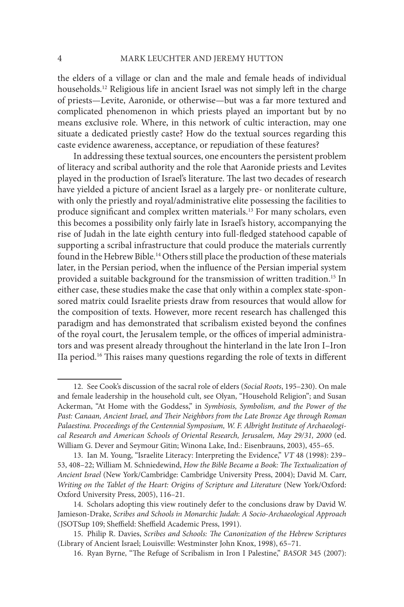the elders of a village or clan and the male and female heads of individual households.<sup>12</sup> Religious life in ancient Israel was not simply left in the charge of priests—Levite, Aaronide, or otherwise—but was a far more textured and complicated phenomenon in which priests played an important but by no means exclusive role. Where, in this network of cultic interaction, may one situate a dedicated priestly caste? How do the textual sources regarding this caste evidence awareness, acceptance, or repudiation of these features?

In addressing these textual sources, one encounters the persistent problem of literacy and scribal authority and the role that Aaronide priests and Levites played in the production of Israel's literature. The last two decades of research have yielded a picture of ancient Israel as a largely pre- or nonliterate culture, with only the priestly and royal/administrative elite possessing the facilities to produce significant and complex written materials.<sup>13</sup> For many scholars, even this becomes a possibility only fairly late in Israel's history, accompanying the rise of Judah in the late eighth century into full-fledged statehood capable of supporting a scribal infrastructure that could produce the materials currently found in the Hebrew Bible.14 Others still place the production of these materials later, in the Persian period, when the influence of the Persian imperial system provided a suitable background for the transmission of written tradition.15 In either case, these studies make the case that only within a complex state-sponsored matrix could Israelite priests draw from resources that would allow for the composition of texts. However, more recent research has challenged this paradigm and has demonstrated that scribalism existed beyond the confines of the royal court, the Jerusalem temple, or the offices of imperial administrators and was present already throughout the hinterland in the late Iron I–Iron IIa period.<sup>16</sup> This raises many questions regarding the role of texts in different

<sup>12.</sup> See Cook's discussion of the sacral role of elders (Social Roots, 195–230). On male and female leadership in the household cult, see Olyan, "Household Religion"; and Susan Ackerman, "At Home with the Goddess," in Symbiosis, Symbolism, and the Power of the Past: Canaan, Ancient Israel, and Their Neighbors from the Late Bronze Age through Roman Palaestina. Proceedings of the Centennial Symposium, W. F. Albright Institute of Archaeological Research and American Schools of Oriental Research, Jerusalem, May 29/31, 2000 (ed. William G. Dever and Seymour Gitin; Winona Lake, Ind.: Eisenbrauns, 2003), 455–65.

<sup>13.</sup> Ian M. Young, "Israelite Literacy: Interpreting the Evidence," VT 48 (1998): 239-53, 408–22; William M. Schniedewind, How the Bible Became a Book: The Textualization of Ancient Israel (New York/Cambridge: Cambridge University Press, 2004); David M. Carr, Writing on the Tablet of the Heart: Origins of Scripture and Literature (New York/Oxford: Oxford University Press, 2005), 116–21.

<sup>14.</sup> Scholars adopting this view routinely defer to the conclusions draw by David W. Jamieson-Drake, Scribes and Schools in Monarchic Judah: A Socio-Archaeological Approach (JSOTSup 109; Sheffield: Sheffield Academic Press, 1991).

<sup>15.</sup> Philip R. Davies, Scribes and Schools: The Canonization of the Hebrew Scriptures (Library of Ancient Israel; Louisville: Westminster John Knox, 1998), 65–71.

<sup>16.</sup> Ryan Byrne, "The Refuge of Scribalism in Iron I Palestine," BASOR 345 (2007):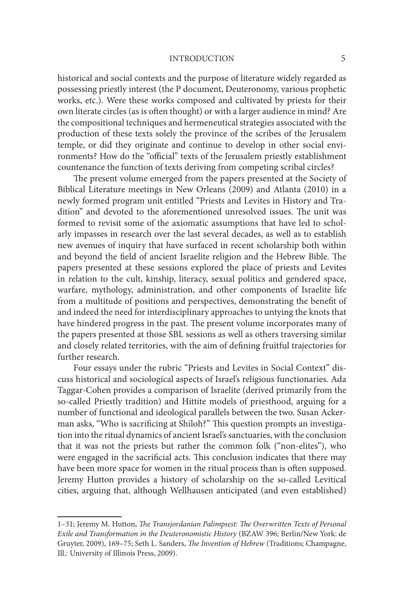historical and social contexts and the purpose of literature widely regarded as possessing priestly interest (the P document, Deuteronomy, various prophetic works, etc.). Were these works composed and cultivated by priests for their own literate circles (as is often thought) or with a larger audience in mind? Are the compositional techniques and hermeneutical strategies associated with the production of these texts solely the province of the scribes of the Jerusalem temple, or did they originate and continue to develop in other social environments? How do the "official" texts of the Jerusalem priestly establishment countenance the function of texts deriving from competing scribal circles?

The present volume emerged from the papers presented at the Society of Biblical Literature meetings in New Orleans (2009) and Atlanta (2010) in a newly formed program unit entitled "Priests and Levites in History and Tradition" and devoted to the aforementioned unresolved issues. The unit was formed to revisit some of the axiomatic assumptions that have led to scholarly impasses in research over the last several decades, as well as to establish new avenues of inquiry that have surfaced in recent scholarship both within and beyond the field of ancient Israelite religion and the Hebrew Bible. The papers presented at these sessions explored the place of priests and Levites in relation to the cult, kinship, literacy, sexual politics and gendered space, warfare, mythology, administration, and other components of Israelite life from a multitude of positions and perspectives, demonstrating the benefit of and indeed the need for interdisciplinary approaches to untying the knots that have hindered progress in the past. The present volume incorporates many of the papers presented at those SBL sessions as well as others traversing similar and closely related territories, with the aim of defining fruitful trajectories for further research.

Four essays under the rubric "Priests and Levites in Social Context" discuss historical and sociological aspects of Israel's religious functionaries. Ada Taggar-Cohen provides a comparison of Israelite (derived primarily from the so-called Priestly tradition) and Hittite models of priesthood, arguing for a number of functional and ideological parallels between the two. Susan Ackerman asks, "Who is sacrificing at Shiloh?" This question prompts an investigation into the ritual dynamics of ancient Israel's sanctuaries, with the conclusion that it was not the priests but rather the common folk ("non-elites"), who were engaged in the sacrificial acts. This conclusion indicates that there may have been more space for women in the ritual process than is often supposed. Jeremy Hutton provides a history of scholarship on the so-called Levitical cities, arguing that, although Wellhausen anticipated (and even established)

<sup>1-31;</sup> Jeremy M. Hutton, The Transjordanian Palimpsest: The Overwritten Texts of Personal Exile and Transformation in the Deuteronomistic History (BZAW 396; Berlin/New York: de Gruyter, 2009), 169-75; Seth L. Sanders, The Invention of Hebrew (Traditions; Champagne, Ill.: University of Illinois Press, 2009).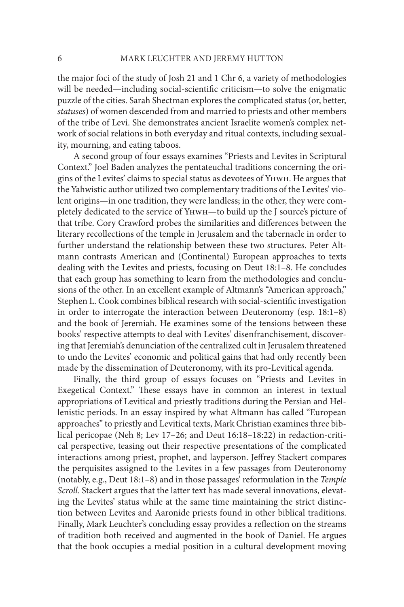the major foci of the study of Josh 21 and 1 Chr 6, a variety of methodologies will be needed—including social-scientific criticism—to solve the enigmatic puzzle of the cities. Sarah Shectman explores the complicated status (or, better, statuses) of women descended from and married to priests and other members of the tribe of Levi. She demonstrates ancient Israelite women's complex network of social relations in both everyday and ritual contexts, including sexuality, mourning, and eating taboos.

A second group of four essays examines "Priests and Levites in Scriptural Context." Joel Baden analyzes the pentateuchal traditions concerning the origins of the Levites' claims to special status as devotees of Yhwh. He argues that the Yahwistic author utilized two complementary traditions of the Levites' violent origins—in one tradition, they were landless; in the other, they were completely dedicated to the service of Yhwh—to build up the J source's picture of that tribe. Cory Crawford probes the similarities and differences between the literary recollections of the temple in Jerusalem and the tabernacle in order to further understand the relationship between these two structures. Peter Altmann contrasts American and (Continental) European approaches to texts dealing with the Levites and priests, focusing on Deut 18:1–8. He concludes that each group has something to learn from the methodologies and conclusions of the other. In an excellent example of Altmann's "American approach," Stephen L. Cook combines biblical research with social-scientific investigation in order to interrogate the interaction between Deuteronomy (esp. 18:1–8) and the book of Jeremiah. He examines some of the tensions between these books' respective attempts to deal with Levites' disenfranchisement, discovering that Jeremiah's denunciation of the centralized cult in Jerusalem threatened to undo the Levites' economic and political gains that had only recently been made by the dissemination of Deuteronomy, with its pro-Levitical agenda.

Finally, the third group of essays focuses on "Priests and Levites in Exegetical Context." These essays have in common an interest in textual appropriations of Levitical and priestly traditions during the Persian and Hellenistic periods. In an essay inspired by what Altmann has called "European approaches" to priestly and Levitical texts, Mark Christian examines three biblical pericopae (Neh 8; Lev 17–26; and Deut 16:18–18:22) in redaction-critical perspective, teasing out their respective presentations of the complicated interactions among priest, prophet, and layperson. Jeffrey Stackert compares the perquisites assigned to the Levites in a few passages from Deuteronomy (notably, e.g., Deut 18:1–8) and in those passages' reformulation in the Temple Scroll. Stackert argues that the latter text has made several innovations, elevating the Levites' status while at the same time maintaining the strict distinction between Levites and Aaronide priests found in other biblical traditions. Finally, Mark Leuchter's concluding essay provides a reflection on the streams of tradition both received and augmented in the book of Daniel. He argues that the book occupies a medial position in a cultural development moving